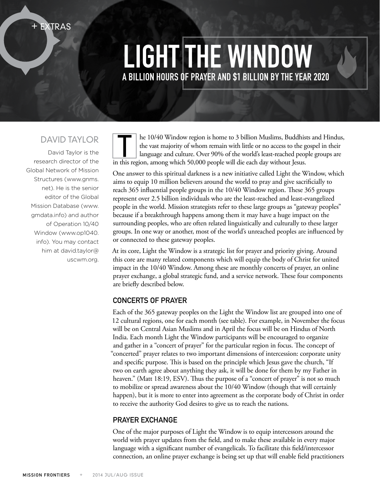Light the Window A billion hours of prayer and \$1 billion by the year 2020

# David Taylor

+ Extras

David Taylor is the research director of the Global Network of Mission Structures (www.gnms. net). He is the senior editor of the Global Mission Database (www. gmdata.info) and author of Operation 10/40 Window (www.op1040. info). You may contact him at david.taylor@ uscwm.org.

he 10/40 Window region is home to 3 billion Muslims, Buddhists and Hindus, the vast majority of whom remain with little or no access to the gospel in their language and culture. Over 90% of the world's least-reached people groups are in this region, among which 50,000 people will die each day without Jesus.

One answer to this spiritual darkness is a new initiative called Light the Window, which aims to equip 10 million believers around the world to pray and give sacrificially to reach 365 influential people groups in the 10/40 Window region. These 365 groups represent over 2.5 billion individuals who are the least-reached and least-evangelized people in the world. Mission strategists refer to these large groups as "gateway peoples" because if a breakthrough happens among them it may have a huge impact on the surrounding peoples, who are often related linguistically and culturally to these larger groups. In one way or another, most of the world's unreached peoples are influenced by or connected to these gateway peoples.

At its core, Light the Window is a strategic list for prayer and priority giving. Around this core are many related components which will equip the body of Christ for united impact in the 10/40 Window. Among these are monthly concerts of prayer, an online prayer exchange, a global strategic fund, and a service network. These four components are briefly described below.

# Concerts of Prayer

Each of the 365 gateway peoples on the Light the Window list are grouped into one of 12 cultural regions, one for each month (see table). For example, in November the focus will be on Central Asian Muslims and in April the focus will be on Hindus of North India. Each month Light the Window participants will be encouraged to organize and gather in a "concert of prayer" for the particular region in focus. The concept of "concerted" prayer relates to two important dimensions of intercession: corporate unity and specific purpose. This is based on the principle which Jesus gave the church, "If two on earth agree about anything they ask, it will be done for them by my Father in heaven." (Matt 18:19, ESV). Thus the purpose of a "concert of prayer" is not so much to mobilize or spread awareness about the 10/40 Window (though that will certainly happen), but it is more to enter into agreement as the corporate body of Christ in order to receive the authority God desires to give us to reach the nations.

# Prayer Exchange

One of the major purposes of Light the Window is to equip intercessors around the world with prayer updates from the field, and to make these available in every major language with a significant number of evangelicals. To facilitate this field/intercessor connection, an online prayer exchange is being set up that will enable field practitioners